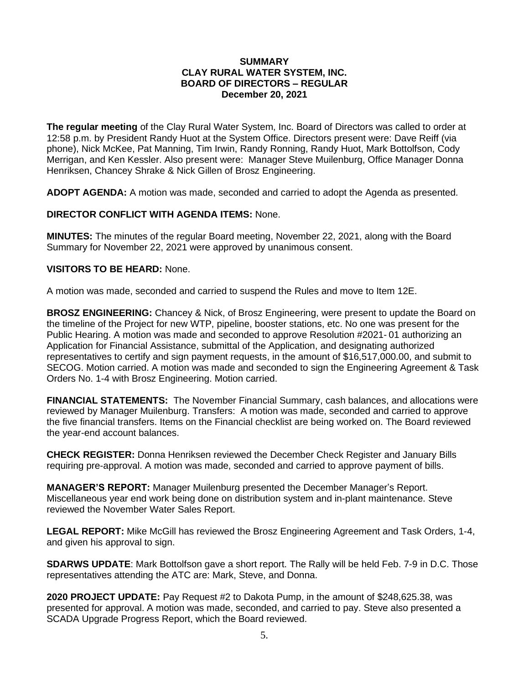### **SUMMARY CLAY RURAL WATER SYSTEM, INC. BOARD OF DIRECTORS – REGULAR December 20, 2021**

**The regular meeting** of the Clay Rural Water System, Inc. Board of Directors was called to order at 12:58 p.m. by President Randy Huot at the System Office. Directors present were: Dave Reiff (via phone), Nick McKee, Pat Manning, Tim Irwin, Randy Ronning, Randy Huot, Mark Bottolfson, Cody Merrigan, and Ken Kessler. Also present were: Manager Steve Muilenburg, Office Manager Donna Henriksen, Chancey Shrake & Nick Gillen of Brosz Engineering.

**ADOPT AGENDA:** A motion was made, seconded and carried to adopt the Agenda as presented.

# **DIRECTOR CONFLICT WITH AGENDA ITEMS:** None.

**MINUTES:** The minutes of the regular Board meeting, November 22, 2021, along with the Board Summary for November 22, 2021 were approved by unanimous consent.

### **VISITORS TO BE HEARD:** None.

A motion was made, seconded and carried to suspend the Rules and move to Item 12E.

**BROSZ ENGINEERING:** Chancey & Nick, of Brosz Engineering, were present to update the Board on the timeline of the Project for new WTP, pipeline, booster stations, etc. No one was present for the Public Hearing. A motion was made and seconded to approve Resolution #2021- 01 authorizing an Application for Financial Assistance, submittal of the Application, and designating authorized representatives to certify and sign payment requests, in the amount of \$16,517,000.00, and submit to SECOG. Motion carried. A motion was made and seconded to sign the Engineering Agreement & Task Orders No. 1-4 with Brosz Engineering. Motion carried.

**FINANCIAL STATEMENTS:** The November Financial Summary, cash balances, and allocations were reviewed by Manager Muilenburg. Transfers: A motion was made, seconded and carried to approve the five financial transfers. Items on the Financial checklist are being worked on. The Board reviewed the year-end account balances.

**CHECK REGISTER:** Donna Henriksen reviewed the December Check Register and January Bills requiring pre-approval. A motion was made, seconded and carried to approve payment of bills.

**MANAGER'S REPORT:** Manager Muilenburg presented the December Manager's Report. Miscellaneous year end work being done on distribution system and in-plant maintenance. Steve reviewed the November Water Sales Report.

**LEGAL REPORT:** Mike McGill has reviewed the Brosz Engineering Agreement and Task Orders, 1-4, and given his approval to sign.

**SDARWS UPDATE**: Mark Bottolfson gave a short report. The Rally will be held Feb. 7-9 in D.C. Those representatives attending the ATC are: Mark, Steve, and Donna.

**2020 PROJECT UPDATE:** Pay Request #2 to Dakota Pump, in the amount of \$248,625.38, was presented for approval. A motion was made, seconded, and carried to pay. Steve also presented a SCADA Upgrade Progress Report, which the Board reviewed.